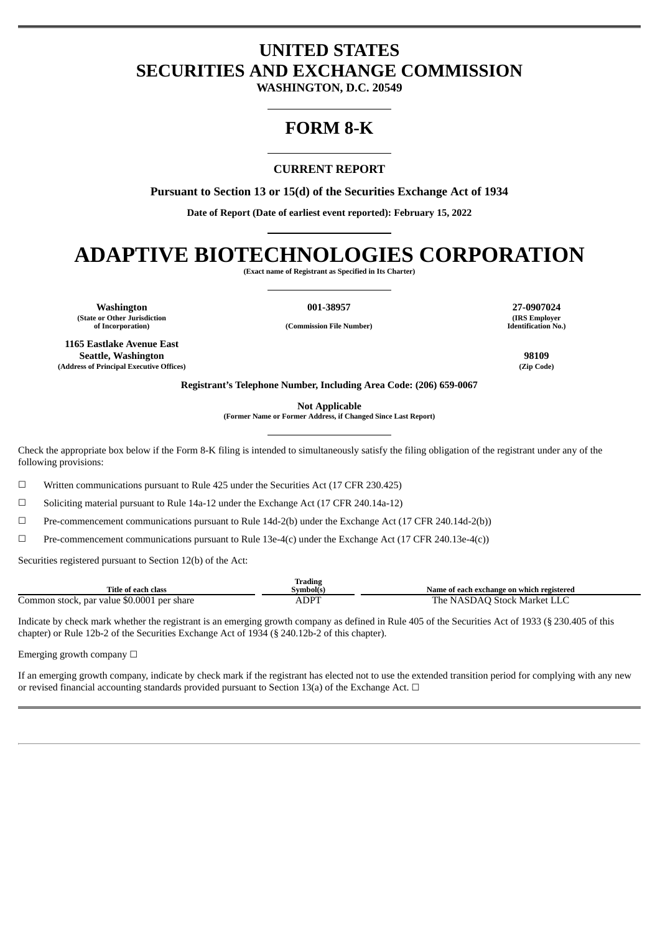# **UNITED STATES SECURITIES AND EXCHANGE COMMISSION**

**WASHINGTON, D.C. 20549**

# **FORM 8-K**

### **CURRENT REPORT**

#### **Pursuant to Section 13 or 15(d) of the Securities Exchange Act of 1934**

**Date of Report (Date of earliest event reported): February 15, 2022**

# **ADAPTIVE BIOTECHNOLOGIES CORPORATION**

**(Exact name of Registrant as Specified in Its Charter)**

**Washington 001-38957 27-0907024 (State or Other Jurisdiction**

**of Incorporation) (Commission File Number)**

**(IRS Employer Identification No.)**

**1165 Eastlake Avenue East Seattle, Washington 98109 (Address of Principal Executive Offices) (Zip Code)**

**Registrant's Telephone Number, Including Area Code: (206) 659-0067**

**Not Applicable**

**(Former Name or Former Address, if Changed Since Last Report)**

Check the appropriate box below if the Form 8-K filing is intended to simultaneously satisfy the filing obligation of the registrant under any of the following provisions:

 $\Box$  Written communications pursuant to Rule 425 under the Securities Act (17 CFR 230.425)

☐ Soliciting material pursuant to Rule 14a-12 under the Exchange Act (17 CFR 240.14a-12)

 $\Box$  Pre-commencement communications pursuant to Rule 14d-2(b) under the Exchange Act (17 CFR 240.14d-2(b))

☐ Pre-commencement communications pursuant to Rule 13e-4(c) under the Exchange Act (17 CFR 240.13e-4(c))

Securities registered pursuant to Section 12(b) of the Act:

|                                                 | Trading  |                                           |
|-------------------------------------------------|----------|-------------------------------------------|
| Title of each class                             | svmbol(s | Name of each exchange on which registered |
| Common stock, par value \$0,0001<br>. per share | ADPI     | -Stock Market<br>1 he<br>ASDAU            |

Indicate by check mark whether the registrant is an emerging growth company as defined in Rule 405 of the Securities Act of 1933 (§ 230.405 of this chapter) or Rule 12b-2 of the Securities Exchange Act of 1934 (§ 240.12b-2 of this chapter).

Emerging growth company  $\Box$ 

If an emerging growth company, indicate by check mark if the registrant has elected not to use the extended transition period for complying with any new or revised financial accounting standards provided pursuant to Section 13(a) of the Exchange Act.  $\Box$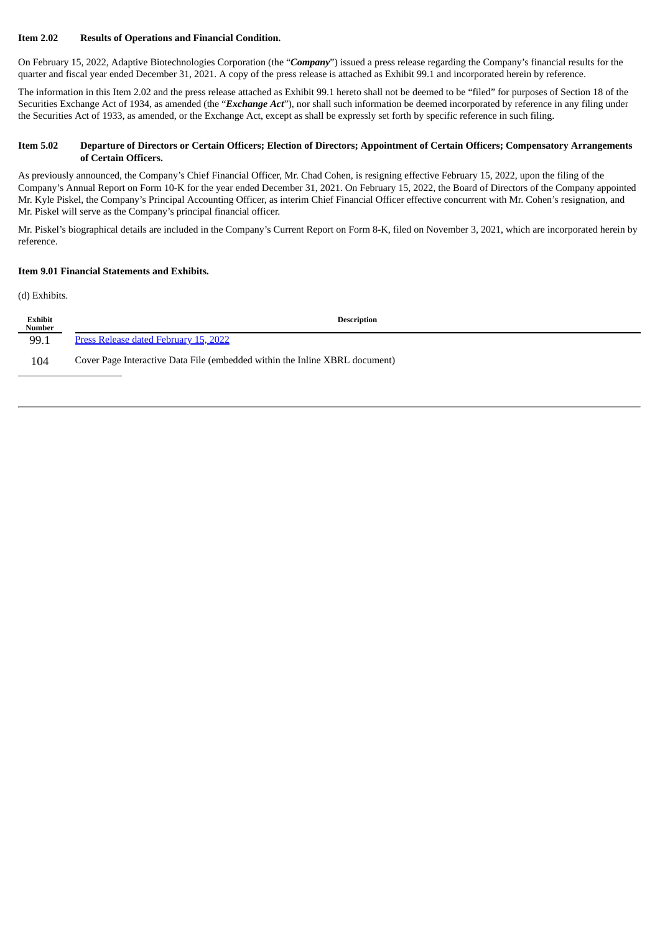#### **Item 2.02 Results of Operations and Financial Condition.**

On February 15, 2022, Adaptive Biotechnologies Corporation (the "*Company*") issued a press release regarding the Company's financial results for the quarter and fiscal year ended December 31, 2021. A copy of the press release is attached as Exhibit 99.1 and incorporated herein by reference.

The information in this Item 2.02 and the press release attached as Exhibit 99.1 hereto shall not be deemed to be "filed" for purposes of Section 18 of the Securities Exchange Act of 1934, as amended (the "*Exchange Act*"), nor shall such information be deemed incorporated by reference in any filing under the Securities Act of 1933, as amended, or the Exchange Act, except as shall be expressly set forth by specific reference in such filing.

#### Item 5.02 Departure of Directors or Certain Officers; Election of Directors; Appointment of Certain Officers; Compensatory Arrangements **of Certain Officers.**

As previously announced, the Company's Chief Financial Officer, Mr. Chad Cohen, is resigning effective February 15, 2022, upon the filing of the Company's Annual Report on Form 10-K for the year ended December 31, 2021. On February 15, 2022, the Board of Directors of the Company appointed Mr. Kyle Piskel, the Company's Principal Accounting Officer, as interim Chief Financial Officer effective concurrent with Mr. Cohen's resignation, and Mr. Piskel will serve as the Company's principal financial officer.

Mr. Piskel's biographical details are included in the Company's Current Report on Form 8-K, filed on November 3, 2021, which are incorporated herein by reference.

#### **Item 9.01 Financial Statements and Exhibits.**

(d) Exhibits.

| Exhibit<br>Number | Description                                                                 |
|-------------------|-----------------------------------------------------------------------------|
| 99.1              | Press Release dated February 15, 2022                                       |
| 104               | Cover Page Interactive Data File (embedded within the Inline XBRL document) |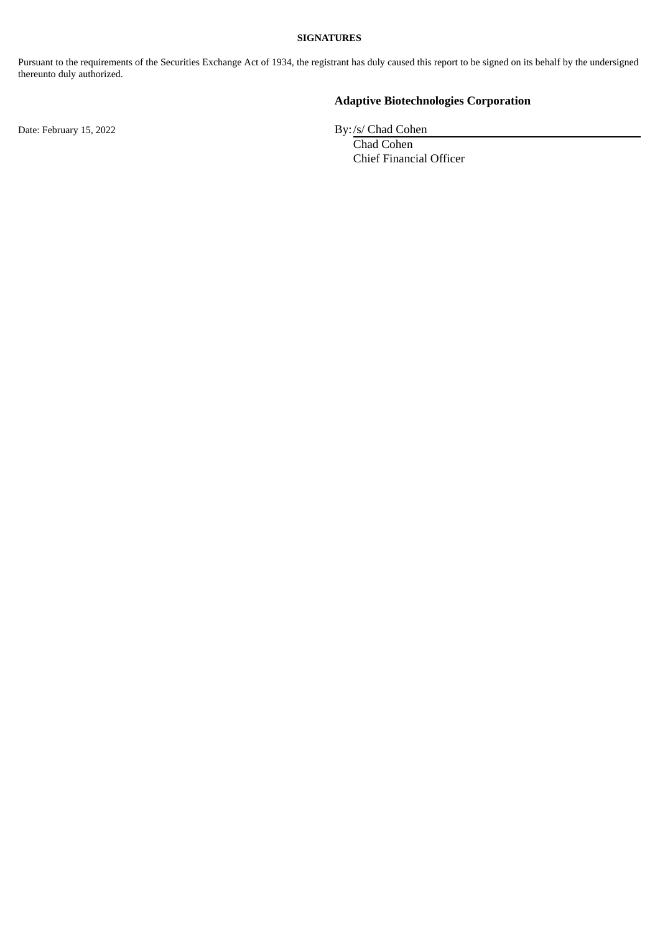#### **SIGNATURES**

Pursuant to the requirements of the Securities Exchange Act of 1934, the registrant has duly caused this report to be signed on its behalf by the undersigned thereunto duly authorized.

# **Adaptive Biotechnologies Corporation**

Date: February 15, 2022 By:/s/ Chad Cohen

Chad Cohen Chief Financial Officer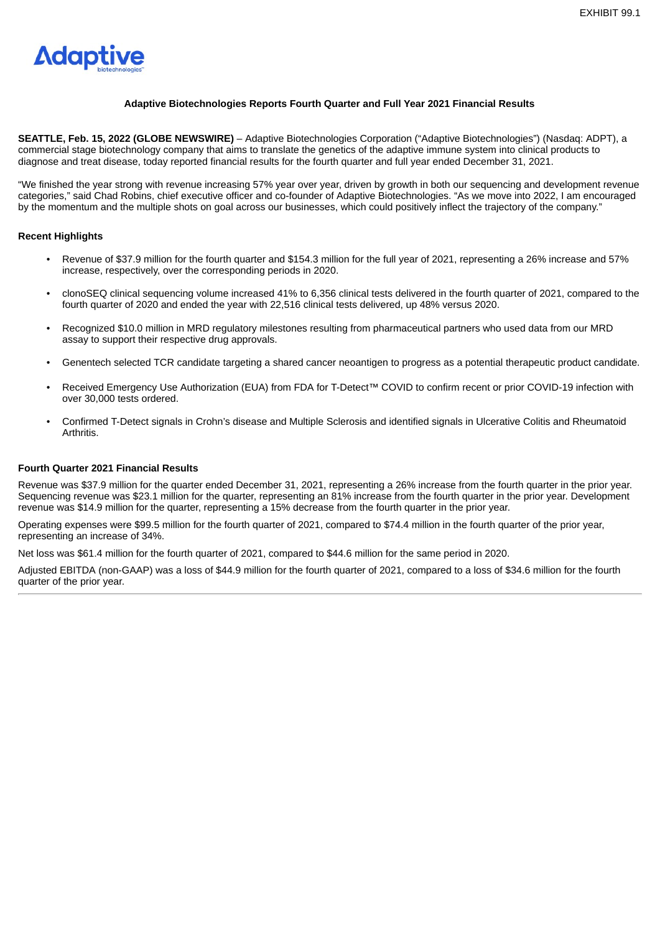<span id="page-3-0"></span>

#### **Adaptive Biotechnologies Reports Fourth Quarter and Full Year 2021 Financial Results**

**SEATTLE, Feb. 15, 2022 (GLOBE NEWSWIRE)** – Adaptive Biotechnologies Corporation ("Adaptive Biotechnologies") (Nasdaq: ADPT), a commercial stage biotechnology company that aims to translate the genetics of the adaptive immune system into clinical products to diagnose and treat disease, today reported financial results for the fourth quarter and full year ended December 31, 2021.

"We finished the year strong with revenue increasing 57% year over year, driven by growth in both our sequencing and development revenue categories," said Chad Robins, chief executive officer and co-founder of Adaptive Biotechnologies. "As we move into 2022, I am encouraged by the momentum and the multiple shots on goal across our businesses, which could positively inflect the trajectory of the company."

#### **Recent Highlights**

- Revenue of \$37.9 million for the fourth quarter and \$154.3 million for the full year of 2021, representing a 26% increase and 57% increase, respectively, over the corresponding periods in 2020.
- clonoSEQ clinical sequencing volume increased 41% to 6,356 clinical tests delivered in the fourth quarter of 2021, compared to the fourth quarter of 2020 and ended the year with 22,516 clinical tests delivered, up 48% versus 2020.
- Recognized \$10.0 million in MRD regulatory milestones resulting from pharmaceutical partners who used data from our MRD assay to support their respective drug approvals.
- Genentech selected TCR candidate targeting a shared cancer neoantigen to progress as a potential therapeutic product candidate.
- Received Emergency Use Authorization (EUA) from FDA for T-Detect™ COVID to confirm recent or prior COVID-19 infection with over 30,000 tests ordered.
- Confirmed T-Detect signals in Crohn's disease and Multiple Sclerosis and identified signals in Ulcerative Colitis and Rheumatoid Arthritis.

#### **Fourth Quarter 2021 Financial Results**

Revenue was \$37.9 million for the quarter ended December 31, 2021, representing a 26% increase from the fourth quarter in the prior year. Sequencing revenue was \$23.1 million for the quarter, representing an 81% increase from the fourth quarter in the prior year. Development revenue was \$14.9 million for the quarter, representing a 15% decrease from the fourth quarter in the prior year.

Operating expenses were \$99.5 million for the fourth quarter of 2021, compared to \$74.4 million in the fourth quarter of the prior year, representing an increase of 34%.

Net loss was \$61.4 million for the fourth quarter of 2021, compared to \$44.6 million for the same period in 2020.

Adjusted EBITDA (non-GAAP) was a loss of \$44.9 million for the fourth quarter of 2021, compared to a loss of \$34.6 million for the fourth quarter of the prior year.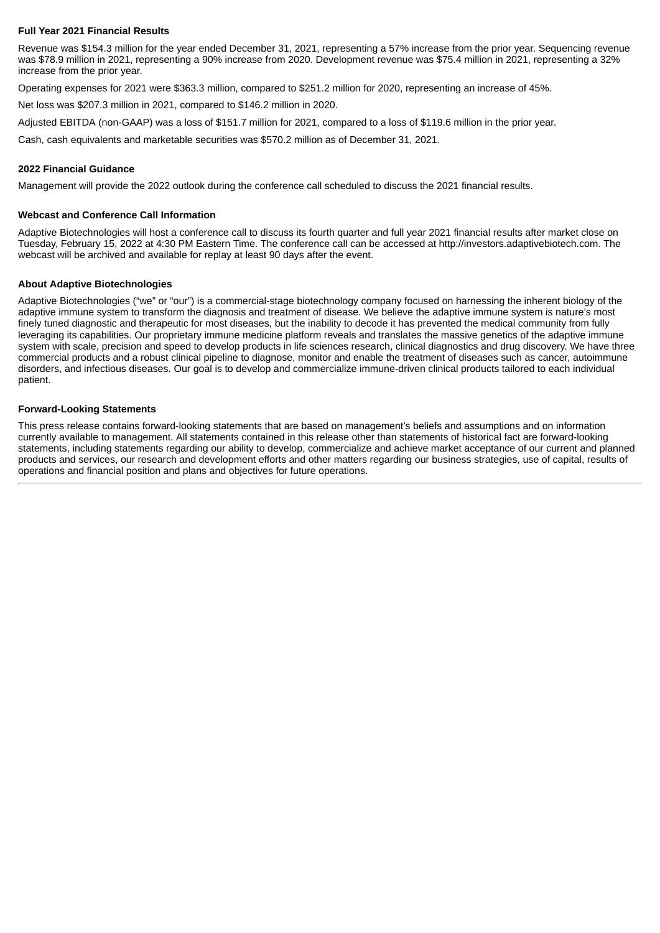#### **Full Year 2021 Financial Results**

Revenue was \$154.3 million for the year ended December 31, 2021, representing a 57% increase from the prior year. Sequencing revenue was \$78.9 million in 2021, representing a 90% increase from 2020. Development revenue was \$75.4 million in 2021, representing a 32% increase from the prior year.

Operating expenses for 2021 were \$363.3 million, compared to \$251.2 million for 2020, representing an increase of 45%.

Net loss was \$207.3 million in 2021, compared to \$146.2 million in 2020.

Adjusted EBITDA (non-GAAP) was a loss of \$151.7 million for 2021, compared to a loss of \$119.6 million in the prior year.

Cash, cash equivalents and marketable securities was \$570.2 million as of December 31, 2021.

#### **2022 Financial Guidance**

Management will provide the 2022 outlook during the conference call scheduled to discuss the 2021 financial results.

#### **Webcast and Conference Call Information**

Adaptive Biotechnologies will host a conference call to discuss its fourth quarter and full year 2021 financial results after market close on Tuesday, February 15, 2022 at 4:30 PM Eastern Time. The conference call can be accessed at http://investors.adaptivebiotech.com. The webcast will be archived and available for replay at least 90 days after the event.

#### **About Adaptive Biotechnologies**

Adaptive Biotechnologies ("we" or "our") is a commercial-stage biotechnology company focused on harnessing the inherent biology of the adaptive immune system to transform the diagnosis and treatment of disease. We believe the adaptive immune system is nature's most finely tuned diagnostic and therapeutic for most diseases, but the inability to decode it has prevented the medical community from fully leveraging its capabilities. Our proprietary immune medicine platform reveals and translates the massive genetics of the adaptive immune system with scale, precision and speed to develop products in life sciences research, clinical diagnostics and drug discovery. We have three commercial products and a robust clinical pipeline to diagnose, monitor and enable the treatment of diseases such as cancer, autoimmune disorders, and infectious diseases. Our goal is to develop and commercialize immune-driven clinical products tailored to each individual patient.

#### **Forward-Looking Statements**

This press release contains forward-looking statements that are based on management's beliefs and assumptions and on information currently available to management. All statements contained in this release other than statements of historical fact are forward-looking statements, including statements regarding our ability to develop, commercialize and achieve market acceptance of our current and planned products and services, our research and development efforts and other matters regarding our business strategies, use of capital, results of operations and financial position and plans and objectives for future operations.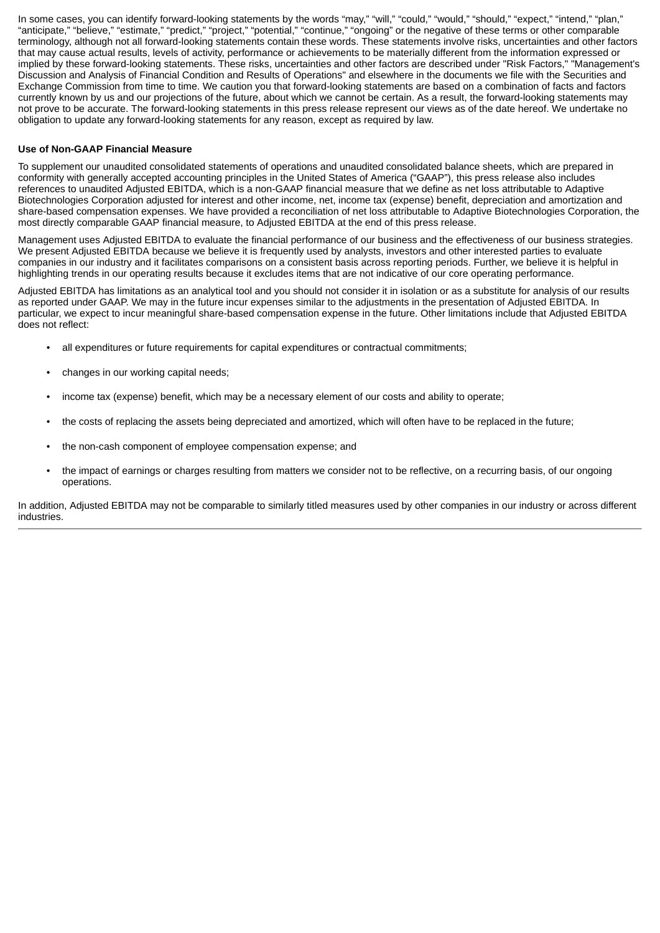In some cases, you can identify forward-looking statements by the words "may," "will," "could," "would," "should," "expect," "intend," "plan," "anticipate," "believe," "estimate," "predict," "project," "potential," "continue," "ongoing" or the negative of these terms or other comparable terminology, although not all forward-looking statements contain these words. These statements involve risks, uncertainties and other factors that may cause actual results, levels of activity, performance or achievements to be materially different from the information expressed or implied by these forward-looking statements. These risks, uncertainties and other factors are described under "Risk Factors," "Management's Discussion and Analysis of Financial Condition and Results of Operations" and elsewhere in the documents we file with the Securities and Exchange Commission from time to time. We caution you that forward-looking statements are based on a combination of facts and factors currently known by us and our projections of the future, about which we cannot be certain. As a result, the forward-looking statements may not prove to be accurate. The forward-looking statements in this press release represent our views as of the date hereof. We undertake no obligation to update any forward-looking statements for any reason, except as required by law.

#### **Use of Non-GAAP Financial Measure**

To supplement our unaudited consolidated statements of operations and unaudited consolidated balance sheets, which are prepared in conformity with generally accepted accounting principles in the United States of America ("GAAP"), this press release also includes references to unaudited Adjusted EBITDA, which is a non-GAAP financial measure that we define as net loss attributable to Adaptive Biotechnologies Corporation adjusted for interest and other income, net, income tax (expense) benefit, depreciation and amortization and share-based compensation expenses. We have provided a reconciliation of net loss attributable to Adaptive Biotechnologies Corporation, the most directly comparable GAAP financial measure, to Adjusted EBITDA at the end of this press release.

Management uses Adjusted EBITDA to evaluate the financial performance of our business and the effectiveness of our business strategies. We present Adjusted EBITDA because we believe it is frequently used by analysts, investors and other interested parties to evaluate companies in our industry and it facilitates comparisons on a consistent basis across reporting periods. Further, we believe it is helpful in highlighting trends in our operating results because it excludes items that are not indicative of our core operating performance.

Adjusted EBITDA has limitations as an analytical tool and you should not consider it in isolation or as a substitute for analysis of our results as reported under GAAP. We may in the future incur expenses similar to the adjustments in the presentation of Adjusted EBITDA. In particular, we expect to incur meaningful share-based compensation expense in the future. Other limitations include that Adjusted EBITDA does not reflect:

- all expenditures or future requirements for capital expenditures or contractual commitments;
- changes in our working capital needs:
- income tax (expense) benefit, which may be a necessary element of our costs and ability to operate;
- the costs of replacing the assets being depreciated and amortized, which will often have to be replaced in the future;
- the non-cash component of employee compensation expense; and
- the impact of earnings or charges resulting from matters we consider not to be reflective, on a recurring basis, of our ongoing operations.

In addition, Adjusted EBITDA may not be comparable to similarly titled measures used by other companies in our industry or across different industries.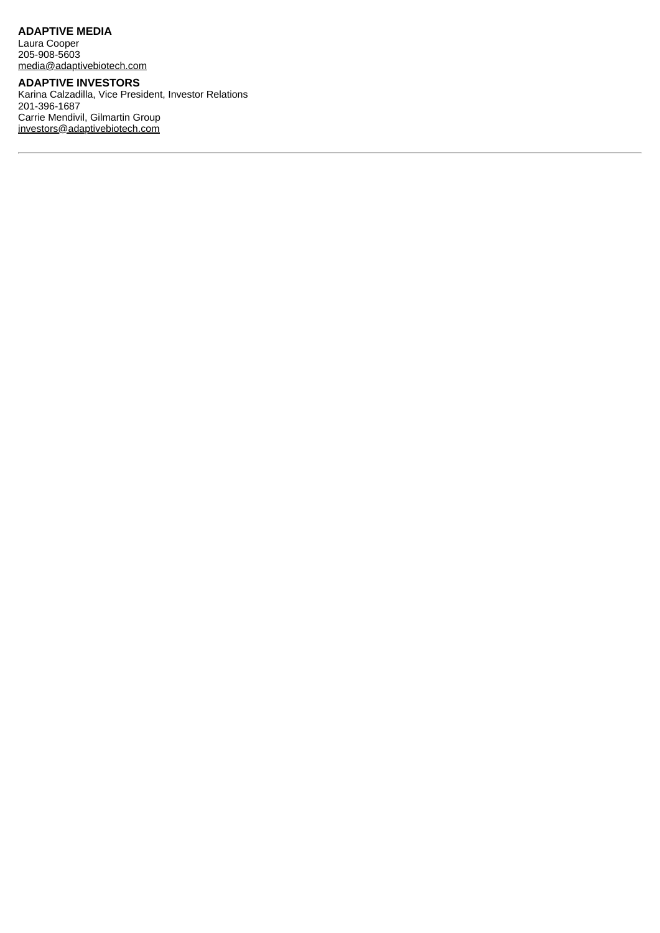#### **ADAPTIVE MEDIA**

Laura Cooper 205-908-5603 media@adaptivebiotech.com

## **ADAPTIVE INVESTORS**

Karina Calzadilla, Vice President, Investor Relations 201-396-1687 Carrie Mendivil, Gilmartin Group investors@adaptivebiotech.com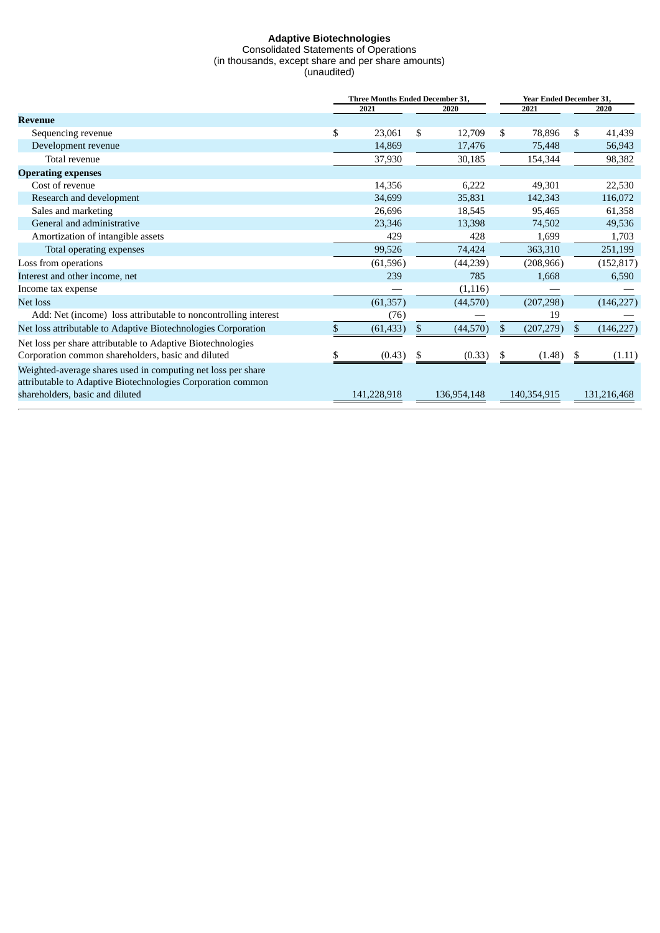#### **Adaptive Biotechnologies** Consolidated Statements of Operations (in thousands, except share and per share amounts) (unaudited)

|                                                                                                                                                                | Three Months Ended December 31, |             |     |             | <b>Year Ended December 31,</b> |             |    |             |
|----------------------------------------------------------------------------------------------------------------------------------------------------------------|---------------------------------|-------------|-----|-------------|--------------------------------|-------------|----|-------------|
|                                                                                                                                                                |                                 | 2021        |     | 2020        |                                | 2021        |    | 2020        |
| <b>Revenue</b>                                                                                                                                                 |                                 |             |     |             |                                |             |    |             |
| Sequencing revenue                                                                                                                                             | \$                              | 23,061      | \$  | 12,709      | \$                             | 78,896      | \$ | 41,439      |
| Development revenue                                                                                                                                            |                                 | 14,869      |     | 17,476      |                                | 75,448      |    | 56,943      |
| Total revenue                                                                                                                                                  |                                 | 37,930      |     | 30,185      |                                | 154,344     |    | 98,382      |
| <b>Operating expenses</b>                                                                                                                                      |                                 |             |     |             |                                |             |    |             |
| Cost of revenue                                                                                                                                                |                                 | 14,356      |     | 6,222       |                                | 49,301      |    | 22,530      |
| Research and development                                                                                                                                       |                                 | 34,699      |     | 35,831      |                                | 142,343     |    | 116,072     |
| Sales and marketing                                                                                                                                            |                                 | 26,696      |     | 18,545      |                                | 95,465      |    | 61,358      |
| General and administrative                                                                                                                                     |                                 | 23,346      |     | 13,398      |                                | 74,502      |    | 49,536      |
| Amortization of intangible assets                                                                                                                              |                                 | 429         |     | 428         |                                | 1,699       |    | 1,703       |
| Total operating expenses                                                                                                                                       |                                 | 99,526      |     | 74,424      |                                | 363,310     |    | 251,199     |
| Loss from operations                                                                                                                                           |                                 | (61, 596)   |     | (44, 239)   |                                | (208, 966)  |    | (152, 817)  |
| Interest and other income, net                                                                                                                                 |                                 | 239         |     | 785         |                                | 1,668       |    | 6,590       |
| Income tax expense                                                                                                                                             |                                 |             |     | (1, 116)    |                                |             |    |             |
| Net loss                                                                                                                                                       |                                 | (61, 357)   |     | (44,570)    |                                | (207, 298)  |    | (146, 227)  |
| Add: Net (income) loss attributable to noncontrolling interest                                                                                                 |                                 | (76)        |     |             |                                | 19          |    |             |
| Net loss attributable to Adaptive Biotechnologies Corporation                                                                                                  | \$                              | (61, 433)   | \$  | (44, 570)   | \$                             | (207, 279)  | \$ | (146, 227)  |
| Net loss per share attributable to Adaptive Biotechnologies<br>Corporation common shareholders, basic and diluted                                              |                                 | (0.43)      | \$. | (0.33)      | S                              | (1.48)      |    | (1.11)      |
| Weighted-average shares used in computing net loss per share<br>attributable to Adaptive Biotechnologies Corporation common<br>shareholders, basic and diluted |                                 | 141,228,918 |     | 136,954,148 |                                | 140,354,915 |    | 131,216,468 |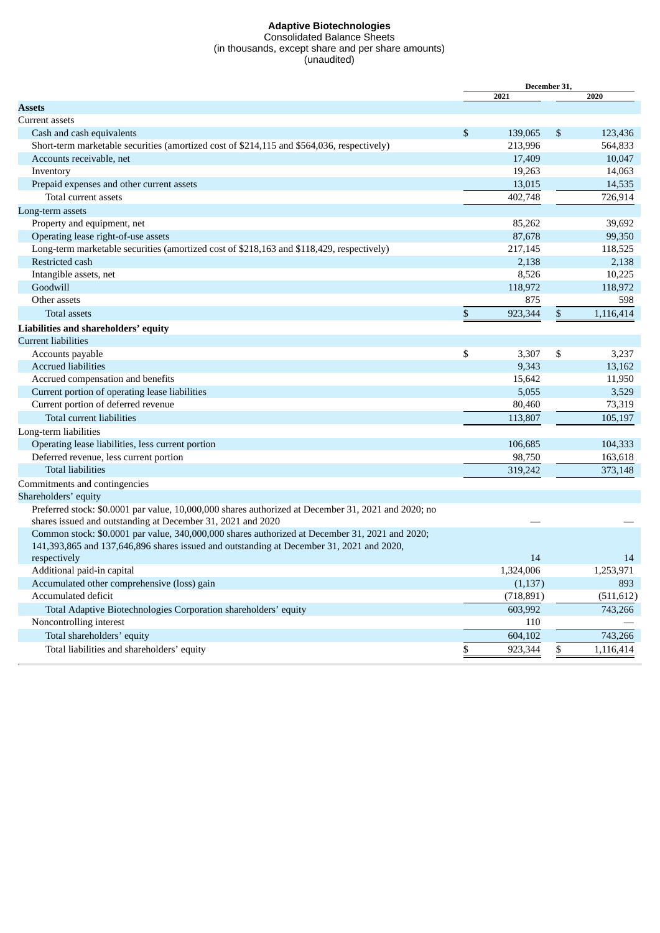#### **Adaptive Biotechnologies** Consolidated Balance Sheets (in thousands, except share and per share amounts) (unaudited)

|                                                                                                     | December 31,  |            |    |            |
|-----------------------------------------------------------------------------------------------------|---------------|------------|----|------------|
|                                                                                                     |               | 2021       |    | 2020       |
| <b>Assets</b>                                                                                       |               |            |    |            |
| Current assets                                                                                      |               |            |    |            |
| Cash and cash equivalents                                                                           | \$            | 139,065    | \$ | 123,436    |
| Short-term marketable securities (amortized cost of \$214,115 and \$564,036, respectively)          |               | 213,996    |    | 564,833    |
| Accounts receivable, net                                                                            |               | 17,409     |    | 10,047     |
| Inventory                                                                                           |               | 19,263     |    | 14,063     |
| Prepaid expenses and other current assets                                                           |               | 13,015     |    | 14,535     |
| Total current assets                                                                                |               | 402,748    |    | 726,914    |
| Long-term assets                                                                                    |               |            |    |            |
| Property and equipment, net                                                                         |               | 85,262     |    | 39,692     |
| Operating lease right-of-use assets                                                                 |               | 87,678     |    | 99,350     |
| Long-term marketable securities (amortized cost of \$218,163 and \$118,429, respectively)           |               | 217,145    |    | 118,525    |
| Restricted cash                                                                                     |               | 2,138      |    | 2,138      |
| Intangible assets, net                                                                              |               | 8,526      |    | 10,225     |
| Goodwill                                                                                            |               | 118,972    |    | 118,972    |
| Other assets                                                                                        |               | 875        |    | 598        |
| <b>Total assets</b>                                                                                 | \$            | 923,344    | \$ | 1,116,414  |
| Liabilities and shareholders' equity                                                                |               |            |    |            |
| <b>Current liabilities</b>                                                                          |               |            |    |            |
| Accounts payable                                                                                    | \$            | 3,307      | \$ | 3,237      |
| <b>Accrued liabilities</b>                                                                          |               | 9,343      |    | 13,162     |
| Accrued compensation and benefits                                                                   |               | 15,642     |    | 11,950     |
| Current portion of operating lease liabilities                                                      |               | 5,055      |    | 3,529      |
| Current portion of deferred revenue                                                                 |               | 80,460     |    | 73,319     |
| Total current liabilities                                                                           |               | 113,807    |    | 105,197    |
| Long-term liabilities                                                                               |               |            |    |            |
| Operating lease liabilities, less current portion                                                   |               | 106,685    |    | 104,333    |
| Deferred revenue, less current portion                                                              |               | 98,750     |    | 163,618    |
| <b>Total liabilities</b>                                                                            |               | 319,242    |    | 373,148    |
| Commitments and contingencies                                                                       |               |            |    |            |
| Shareholders' equity                                                                                |               |            |    |            |
| Preferred stock: \$0.0001 par value, 10,000,000 shares authorized at December 31, 2021 and 2020; no |               |            |    |            |
| shares issued and outstanding at December 31, 2021 and 2020                                         |               |            |    |            |
| Common stock: \$0.0001 par value, 340,000,000 shares authorized at December 31, 2021 and 2020;      |               |            |    |            |
| 141,393,865 and 137,646,896 shares issued and outstanding at December 31, 2021 and 2020,            |               |            |    |            |
| respectively                                                                                        |               | 14         |    | 14         |
| Additional paid-in capital                                                                          |               | 1,324,006  |    | 1,253,971  |
| Accumulated other comprehensive (loss) gain                                                         |               | (1, 137)   |    | 893        |
| Accumulated deficit                                                                                 |               | (718, 891) |    | (511, 612) |
| Total Adaptive Biotechnologies Corporation shareholders' equity                                     |               | 603,992    |    | 743,266    |
| Noncontrolling interest                                                                             |               | 110        |    |            |
| Total shareholders' equity                                                                          |               | 604,102    |    | 743,266    |
| Total liabilities and shareholders' equity                                                          |               | 923,344    | \$ | 1,116,414  |
|                                                                                                     | $\frac{3}{2}$ |            |    |            |